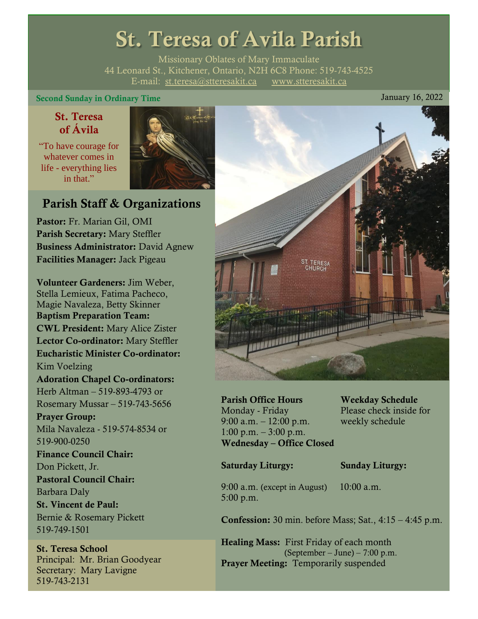# St. Teresa of Avila Parish

Missionary Oblates of Mary Immaculate 44 Leonard St., Kitchener, Ontario, N2H 6C8 Phone: 519-743-4525 E-mail: [st.teresa@stteresakit.ca](mailto:st.teresa@stteresakit.ca) [www.stteresakit.ca](http://www.stteresakit.ca/)

Second Sunday in Ordinary Time January 16, 2022

# St. Teresa of Ávila

"To have courage for whatever comes in life - everything lies in that."



# Parish Staff & Organizations

Pastor: Fr. Marian Gil, OMI Parish Secretary: Mary Steffler Business Administrator: David Agnew Facilities Manager: Jack Pigeau

Volunteer Gardeners: Jim Weber, Stella Lemieux, Fatima Pacheco, Magie Navaleza, Betty Skinner Baptism Preparation Team: CWL President: Mary Alice Zister Lector Co-ordinator: Mary Steffler Eucharistic Minister Co-ordinator: Kim Voelzing Adoration Chapel Co-ordinators: Herb Altman – 519-893-4793 or Rosemary Mussar – 519-743-5656 Prayer Group: Mila Navaleza - 519-574-8534 or 519-900-0250 Finance Council Chair: Don Pickett, Jr. Pastoral Council Chair: Barbara Daly St. Vincent de Paul: Bernie & Rosemary Pickett 519-749-1501

St. Teresa School Principal: Mr. Brian Goodyear Secretary: Mary Lavigne 519-743-2131



Parish Office Hours Weekday Schedule Monday - Friday Please check inside for 9:00 a.m. – 12:00 p.m. weekly schedule 1:00 p.m.  $-3:00$  p.m. Wednesday – Office Closed

#### Saturday Liturgy: Sunday Liturgy:

9:00 a.m. (except in August) 10:00 a.m. 5:00 p.m.

Confession: 30 min. before Mass; Sat., 4:15 – 4:45 p.m.

Healing Mass: First Friday of each month (September – June) – 7:00 p.m. Prayer Meeting: Temporarily suspended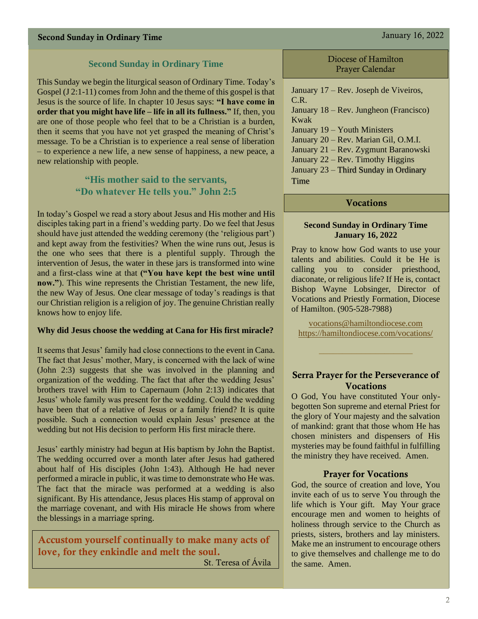#### **Second Sunday in Ordinary Time**

This Sunday we begin the liturgical season of Ordinary Time. Today's Gospel (J 2:1-11) comes from John and the theme of this gospel is that Jesus is the source of life. In chapter 10 Jesus says: **"I have come in order that you might have life – life in all its fullness."** If, then, you are one of those people who feel that to be a Christian is a burden, then it seems that you have not yet grasped the meaning of Christ's message. To be a Christian is to experience a real sense of liberation – to experience a new life, a new sense of happiness, a new peace, a new relationship with people.

## **"His mother said to the servants, "Do whatever He tells you." John 2:5**

In today's Gospel we read a story about Jesus and His mother and His disciples taking part in a friend's wedding party. Do we feel that Jesus should have just attended the wedding ceremony (the 'religious part') and kept away from the festivities? When the wine runs out, Jesus is the one who sees that there is a plentiful supply. Through the intervention of Jesus, the water in these jars is transformed into wine and a first-class wine at that **("You have kept the best wine until now."**). This wine represents the Christian Testament, the new life, the new Way of Jesus. One clear message of today's readings is that our Christian religion is a religion of joy. The genuine Christian really knows how to enjoy life.

#### **Why did Jesus choose the wedding at Cana for His first miracle?**

It seems that Jesus' family had close connections to the event in Cana. The fact that Jesus' mother, Mary, is concerned with the lack of wine (John 2:3) suggests that she was involved in the planning and organization of the wedding. The fact that after the wedding Jesus' brothers travel with Him to Capernaum (John 2:13) indicates that Jesus' whole family was present for the wedding. Could the wedding have been that of a relative of Jesus or a family friend? It is quite possible. Such a connection would explain Jesus' presence at the wedding but not His decision to perform His first miracle there.

Jesus' earthly ministry had begun at His baptism by John the Baptist. The wedding occurred over a month later after Jesus had gathered about half of His disciples (John 1:43). Although He had never performed a miracle in public, it was time to demonstrate who He was. The fact that the miracle was performed at a wedding is also significant. By His attendance, Jesus places His stamp of approval on the marriage covenant, and with His miracle He shows from where the blessings in a marriage spring.

Accustom yourself continually to make many acts of love, for they enkindle and melt the soul.

St. Teresa of Ávila

Diocese of Hamilton Prayer Calendar

January 17 – Rev. Joseph de Viveiros, C.R. January 18 – Rev. Jungheon (Francisco) Kwak January 19 – Youth Ministers January 20 – Rev. Marian Gil, O.M.I. January 21 – Rev. Zygmunt Baranowski January 22 – Rev. Timothy Higgins January 23 – Third Sunday in Ordinary Time

#### Vocations

#### **Second Sunday in Ordinary Time January 16, 2022**

Pray to know how God wants to use your talents and abilities. Could it be He is calling you to consider priesthood, diaconate, or religious life? If He is, contact Bishop Wayne Lobsinger, Director of Vocations and Priestly Formation, Diocese of Hamilton. (905-528-7988)

[vocations@hamiltondiocese.com](mailto:vocations@hamiltondiocese.com)  <https://hamiltondiocese.com/vocations/>

#### Serra Prayer for the Perseverance of **Vocations**

O God, You have constituted Your onlybegotten Son supreme and eternal Priest for the glory of Your majesty and the salvation of mankind: grant that those whom He has chosen ministers and dispensers of His mysteries may be found faithful in fulfilling the ministry they have received. Amen.

#### Prayer for Vocations

God, the source of creation and love, You invite each of us to serve You through the life which is Your gift. May Your grace encourage men and women to heights of holiness through service to the Church as priests, sisters, brothers and lay ministers. Make me an instrument to encourage others to give themselves and challenge me to do the same. Amen.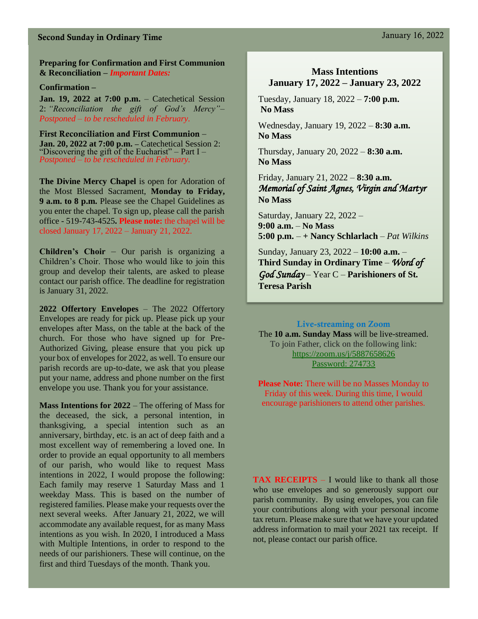# Second Sunday in Ordinary Time January 16, 2022

**Preparing for Confirmation and First Communion & Reconciliation –** *Important Dates:*

#### **Confirmation –**

**Jan. 19, 2022 at 7:00 p.m.** – Catechetical Session 2: *"Reconciliation the gift of God's Mercy"*– *Postponed – to be rescheduled in February.*

First Reconciliation and First Communion – **Jan. 20, 2022 at 7:00 p.m. –** Catechetical Session 2: "Discovering the gift of the Eucharist" – Part I *– Postponed – to be rescheduled in February.*

**The Divine Mercy Chapel** is open for Adoration of the Most Blessed Sacrament, **Monday to Friday, 9 a.m. to 8 p.m.** Please see the Chapel Guidelines as you enter the chapel. To sign up, please call the parish office - 519-743-4525**. Please note:** the chapel will be closed January 17, 2022 – January 21, 2022.

**Children's Choir** – Our parish is organizing a Children's Choir. Those who would like to join this group and develop their talents, are asked to please contact our parish office. The deadline for registration is January 31, 2022.

**2022 Offertory Envelopes** – The 2022 Offertory Envelopes are ready for pick up. Please pick up your envelopes after Mass, on the table at the back of the church. For those who have signed up for Pre-Authorized Giving, please ensure that you pick up your box of envelopes for 2022, as well. To ensure our parish records are up-to-date, we ask that you please put your name, address and phone number on the first envelope you use. Thank you for your assistance.

**Mass Intentions for 2022** – The offering of Mass for the deceased, the sick, a personal intention, in thanksgiving, a special intention such as an anniversary, birthday, etc. is an act of deep faith and a most excellent way of remembering a loved one. In order to provide an equal opportunity to all members of our parish, who would like to request Mass intentions in 2022, I would propose the following: Each family may reserve 1 Saturday Mass and 1 weekday Mass. This is based on the number of registered families. Please make your requests over the next several weeks. After January 21, 2022, we will accommodate any available request, for as many Mass intentions as you wish. In 2020, I introduced a Mass with Multiple Intentions, in order to respond to the needs of our parishioners. These will continue, on the first and third Tuesdays of the month. Thank you.

## **Mass Intentions January 17, 2022 – January 23, 2022**

Tuesday, January 18, 2022 – **7:00 p.m. No Mass** 

Wednesday, January 19, 2022 – **8:30 a.m. No Mass**

Thursday, January 20, 2022 – **8:30 a.m. No Mass**

Friday, January 21, 2022 – **8:30 a.m.** *Memorial of Saint Agnes, Virgin and Martyr* **No Mass**

Saturday, January 22, 2022 – **9:00 a.m.** – **No Mass 5:00 p.m.** – **+ Nancy Schlarlach** – *Pat Wilkins*

Sunday, January 23, 2022 – **10:00 a.m.** – **Third Sunday in Ordinary Time** – *Word of God Sunday* – Year C – **Parishioners of St. Teresa Parish** 

#### Live-streaming on Zoom

The **10 a.m. Sunday Mass** will be live-streamed. To join Father, click on the following link: <https://zoom.us/j/5887658626> Password: 274733

**Please Note:** There will be no Masses Monday to Friday of this week. During this time, I would encourage parishioners to attend other parishes.

**TAX RECEIPTS** – I would like to thank all those who use envelopes and so generously support our parish community. By using envelopes, you can file your contributions along with your personal income tax return. Please make sure that we have your updated address information to mail your 2021 tax receipt. If not, please contact our parish office.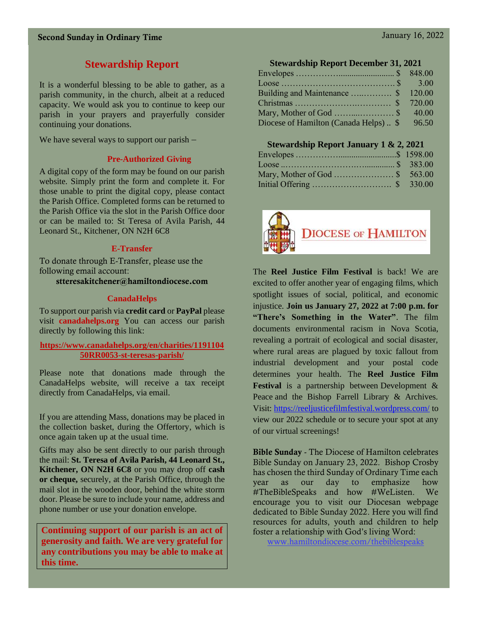# **Stewardship Report**

It is a wonderful blessing to be able to gather, as a parish community, in the church, albeit at a reduced capacity. We would ask you to continue to keep our parish in your prayers and prayerfully consider continuing your donations.

We have several ways to support our parish –

# **Pre-Authorized Giving**

A digital copy of the form may be found on our parish website. Simply print the form and complete it. For those unable to print the digital copy, please contact the Parish Office. Completed forms can be returned to the Parish Office via the slot in the Parish Office door or can be mailed to: St Teresa of Avila Parish, 44 Leonard St., Kitchener, ON N2H 6C8

# **E-Transfer**

To donate through E-Transfer, please use the following email account:

stteresakitchener@hamiltondiocese.com

# **CanadaHelps**

To support our parish via **credit card** or **PayPal** please visit **canadahelps.org** You can access our parish directly by following this link:

#### **[https://www.canadahelps.org/en/charities/1191104](https://www.canadahelps.org/en/charities/119110450RR0053-st-teresas-parish/) [50RR0053-st-teresas-parish/](https://www.canadahelps.org/en/charities/119110450RR0053-st-teresas-parish/)**

Please note that donations made through the CanadaHelps website, will receive a tax receipt directly from CanadaHelps, via email.

If you are attending Mass, donations may be placed in the collection basket, during the Offertory, which is once again taken up at the usual time.

Gifts may also be sent directly to our parish through the mail: **St. Teresa of Avila Parish, 44 Leonard St., Kitchener, ON N2H 6C8** or you may drop off **cash or cheque,** securely, at the Parish Office, through the mail slot in the wooden door, behind the white storm door. Please be sure to include your name, address and phone number or use your donation envelope.

**Continuing support of our parish is an act of generosity and faith. We are very grateful for any contributions you may be able to make at this time.**

| <b>Stewardship Report December 31, 2021</b> |  |       |  |
|---------------------------------------------|--|-------|--|
| the contract of the contract of the         |  | 0.40L |  |

|                                        | 40.00 |
|----------------------------------------|-------|
| Diocese of Hamilton (Canada Helps)  \$ | 96.50 |

# **Stewardship Report January 1 & 2, 2021**

| Mary, Mother of God \$ 563.00 |  |
|-------------------------------|--|
|                               |  |



The **Reel Justice Film Festival** is back! We are excited to offer another year of engaging films, which spotlight issues of social, political, and economic injustice. **Join us January 27, 2022 at 7:00 p.m. for "There's Something in the Water"**. The film documents environmental racism in Nova Scotia, revealing a portrait of ecological and social disaster, where rural areas are plagued by toxic fallout from industrial development and your postal code determines your health. The **Reel Justice Film Festival** is a partnership between Development & Peace and the Bishop Farrell Library & Archives. Visit: <https://reeljusticefilmfestival.wordpress.com/> to view our 2022 schedule or to secure your spot at any of our virtual screenings!

Bible Sunday - The Diocese of Hamilton celebrates Bible Sunday on January 23, 2022. Bishop Crosby has chosen the third Sunday of Ordinary Time each year as our day to emphasize how #TheBibleSpeaks and how #WeListen. We encourage you to visit our Diocesan webpage dedicated to Bible Sunday 2022. Here you will find resources for adults, youth and children to help foster a relationship with God's living Word:

[www.hamiltondiocese.com/thebiblespeaks](http://www.hamiltondiocese.com/thebiblespeaks)